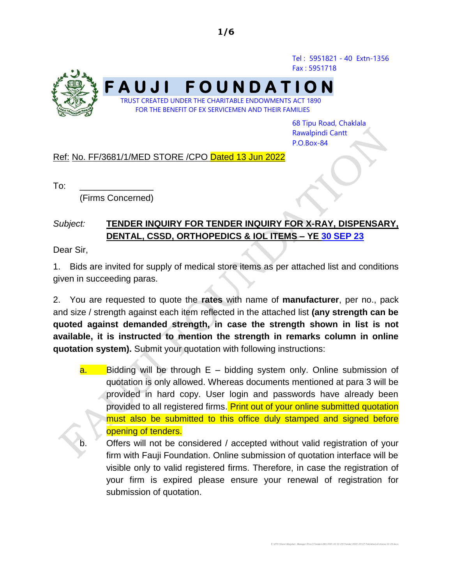Tel : 5951821 - 40 Extn-1356 Fax : 5951718



68 Tipu Road, Chaklala Rawalpindi Cantt P.O.Box-84

E:\CPO Share\Wajahat -Manager (Proc)\Tenders MS 2021-22 22-23\Tender 2022-23\IT Published all stores 22-23.docx

#### Ref: No. FF/3681/1/MED STORE /CPO Dated 13 Jun 2022

 $To:$ 

(Firms Concerned)

## *Subject:* **TENDER INQUIRY FOR TENDER INQUIRY FOR X-RAY, DISPENSARY, DENTAL, CSSD, ORTHOPEDICS & IOL ITEMS – YE 30 SEP 23**

Dear Sir,

1. Bids are invited for supply of medical store items as per attached list and conditions given in succeeding paras.

2. You are requested to quote the **rates** with name of **manufacturer**, per no., pack and size / strength against each item reflected in the attached list **(any strength can be quoted against demanded strength, in case the strength shown in list is not available, it is instructed to mention the strength in remarks column in online quotation system).** Submit your quotation with following instructions:

- $a.$  Bidding will be through  $E b$ idding system only. Online submission of quotation is only allowed. Whereas documents mentioned at para 3 will be provided in hard copy. User login and passwords have already been provided to all registered firms. Print out of your online submitted quotation must also be submitted to this office duly stamped and signed before opening of tenders.
	- Offers will not be considered / accepted without valid registration of your firm with Fauji Foundation. Online submission of quotation interface will be visible only to valid registered firms. Therefore, in case the registration of your firm is expired please ensure your renewal of registration for submission of quotation.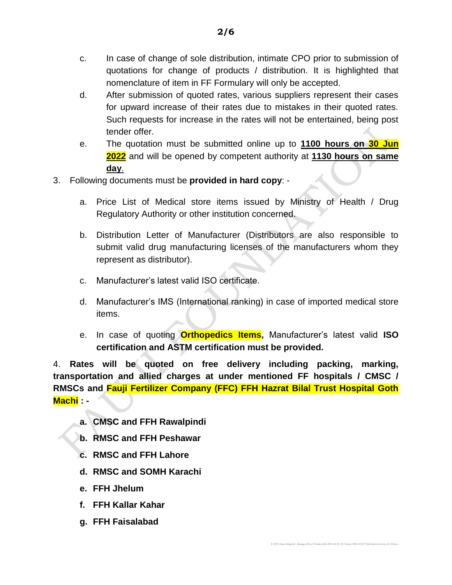- d. After submission of quoted rates, various suppliers represent their cases for upward increase of their rates due to mistakes in their quoted rates. Such requests for increase in the rates will not be entertained, being post tender offer.
- e. The quotation must be submitted online up to **1100 hours on 30 Jun 2022** and will be opened by competent authority at **1130 hours on same day**.
- 3. Following documents must be **provided in hard copy**:
	- a. Price List of Medical store items issued by Ministry of Health / Drug Regulatory Authority or other institution concerned.
	- b. Distribution Letter of Manufacturer (Distributors are also responsible to submit valid drug manufacturing licenses of the manufacturers whom they represent as distributor).
	- c. Manufacturer's latest valid ISO certificate.
	- d. Manufacturer's IMS (International ranking) in case of imported medical store items.
	- e. In case of quoting **Orthopedics Items,** Manufacturer's latest valid **ISO certification and ASTM certification must be provided.**

E:\CPO Share\Wajahat -Manager (Proc)\Tenders MS 2021-22 22-23\Tender 2022-23\IT Published all stores 22-23.docx

4. **Rates will be quoted on free delivery including packing, marking, transportation and allied charges at under mentioned FF hospitals / CMSC / RMSCs and Fauji Fertilizer Company (FFC) FFH Hazrat Bilal Trust Hospital Goth Machi : -**

- **a. CMSC and FFH Rawalpindi**
- **b. RMSC and FFH Peshawar**
- **c. RMSC and FFH Lahore**
- **d. RMSC and SOMH Karachi**
- **e. FFH Jhelum**
- **f. FFH Kallar Kahar**
- **g. FFH Faisalabad**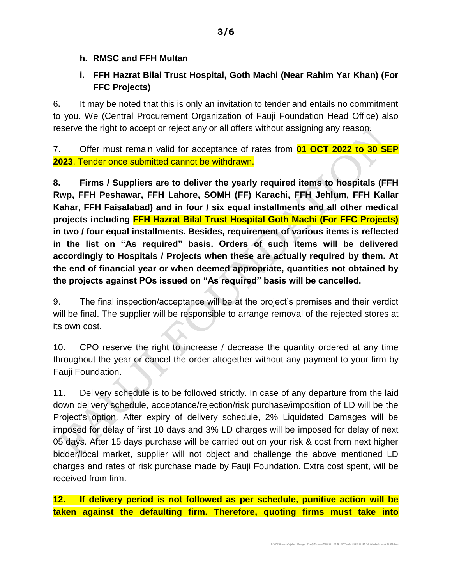### **h. RMSC and FFH Multan**

# **i. FFH Hazrat Bilal Trust Hospital, Goth Machi (Near Rahim Yar Khan) (For FFC Projects)**

6**.** It may be noted that this is only an invitation to tender and entails no commitment to you. We (Central Procurement Organization of Fauji Foundation Head Office) also reserve the right to accept or reject any or all offers without assigning any reason.

7. Offer must remain valid for acceptance of rates from **01 OCT 2022 to 30 SEP 2023**. Tender once submitted cannot be withdrawn.

**8. Firms / Suppliers are to deliver the yearly required items to hospitals (FFH Rwp, FFH Peshawar, FFH Lahore, SOMH (FF) Karachi, FFH Jehlum, FFH Kallar Kahar, FFH Faisalabad) and in four / six equal installments and all other medical projects including FFH Hazrat Bilal Trust Hospital Goth Machi (For FFC Projects) in two / four equal installments. Besides, requirement of various items is reflected in the list on "As required" basis. Orders of such items will be delivered accordingly to Hospitals / Projects when these are actually required by them. At the end of financial year or when deemed appropriate, quantities not obtained by the projects against POs issued on "As required" basis will be cancelled.**

9. The final inspection/acceptance will be at the project's premises and their verdict will be final. The supplier will be responsible to arrange removal of the rejected stores at its own cost.

10. CPO reserve the right to increase / decrease the quantity ordered at any time throughout the year or cancel the order altogether without any payment to your firm by Fauji Foundation.

11. Delivery schedule is to be followed strictly. In case of any departure from the laid down delivery schedule, acceptance/rejection/risk purchase/imposition of LD will be the Project's option. After expiry of delivery schedule, 2% Liquidated Damages will be imposed for delay of first 10 days and 3% LD charges will be imposed for delay of next 05 days. After 15 days purchase will be carried out on your risk & cost from next higher bidder/local market, supplier will not object and challenge the above mentioned LD charges and rates of risk purchase made by Fauji Foundation. Extra cost spent, will be received from firm.

**12. If delivery period is not followed as per schedule, punitive action will be taken against the defaulting firm. Therefore, quoting firms must take into**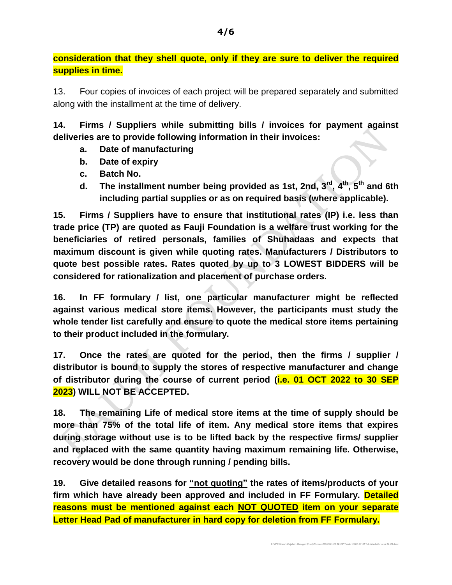**consideration that they shell quote, only if they are sure to deliver the required supplies in time.**

13. Four copies of invoices of each project will be prepared separately and submitted along with the installment at the time of delivery.

**14. Firms / Suppliers while submitting bills / invoices for payment against deliveries are to provide following information in their invoices:**

- **a. Date of manufacturing**
- **b. Date of expiry**
- **c. Batch No.**
- **d. The installment number being provided as 1st, 2nd, 3rd , 4 th, 5th and 6th including partial supplies or as on required basis (where applicable).**

**15. Firms / Suppliers have to ensure that institutional rates (IP) i.e. less than trade price (TP) are quoted as Fauji Foundation is a welfare trust working for the beneficiaries of retired personals, families of Shuhadaas and expects that maximum discount is given while quoting rates. Manufacturers / Distributors to quote best possible rates. Rates quoted by up to 3 LOWEST BIDDERS will be considered for rationalization and placement of purchase orders.**

**16. In FF formulary / list, one particular manufacturer might be reflected against various medical store items. However, the participants must study the whole tender list carefully and ensure to quote the medical store items pertaining to their product included in the formulary.** 

**17. Once the rates are quoted for the period, then the firms / supplier / distributor is bound to supply the stores of respective manufacturer and change of distributor during the course of current period (i.e. 01 OCT 2022 to 30 SEP 2023) WILL NOT BE ACCEPTED.**

**18. The remaining Life of medical store items at the time of supply should be more than 75% of the total life of item. Any medical store items that expires during storage without use is to be lifted back by the respective firms/ supplier and replaced with the same quantity having maximum remaining life. Otherwise, recovery would be done through running / pending bills.**

**19. Give detailed reasons for "not quoting" the rates of items/products of your firm which have already been approved and included in FF Formulary. Detailed reasons must be mentioned against each NOT QUOTED item on your separate Letter Head Pad of manufacturer in hard copy for deletion from FF Formulary.**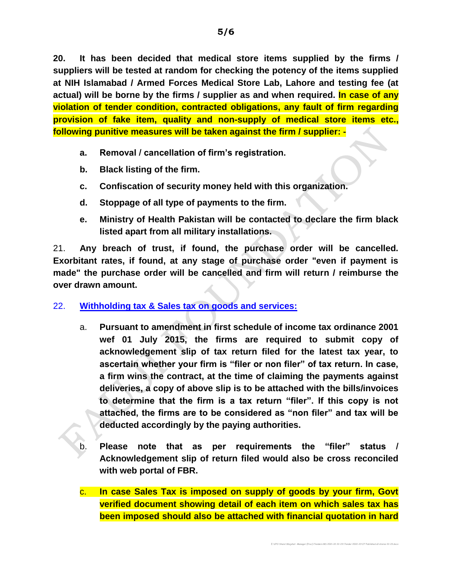**20. It has been decided that medical store items supplied by the firms / suppliers will be tested at random for checking the potency of the items supplied at NIH Islamabad / Armed Forces Medical Store Lab, Lahore and testing fee (at actual) will be borne by the firms / supplier as and when required. In case of any violation of tender condition, contracted obligations, any fault of firm regarding provision of fake item, quality and non-supply of medical store items etc., following punitive measures will be taken against the firm / supplier: -**

- **a. Removal / cancellation of firm's registration.**
- **b. Black listing of the firm.**
- **c. Confiscation of security money held with this organization.**
- **d. Stoppage of all type of payments to the firm.**
- **e. Ministry of Health Pakistan will be contacted to declare the firm black listed apart from all military installations.**

21. **Any breach of trust, if found, the purchase order will be cancelled. Exorbitant rates, if found, at any stage of purchase order "even if payment is made" the purchase order will be cancelled and firm will return / reimburse the over drawn amount.**

### 22. **Withholding tax & Sales tax on goods and services:**

- a. **Pursuant to amendment in first schedule of income tax ordinance 2001 wef 01 July 2015, the firms are required to submit copy of acknowledgement slip of tax return filed for the latest tax year, to ascertain whether your firm is "filer or non filer" of tax return. In case, a firm wins the contract, at the time of claiming the payments against deliveries, a copy of above slip is to be attached with the bills/invoices to determine that the firm is a tax return "filer". If this copy is not attached, the firms are to be considered as "non filer" and tax will be deducted accordingly by the paying authorities.**
- b. **Please note that as per requirements the "filer" status / Acknowledgement slip of return filed would also be cross reconciled with web portal of FBR.**

c. **In case Sales Tax is imposed on supply of goods by your firm, Govt verified document showing detail of each item on which sales tax has been imposed should also be attached with financial quotation in hard**